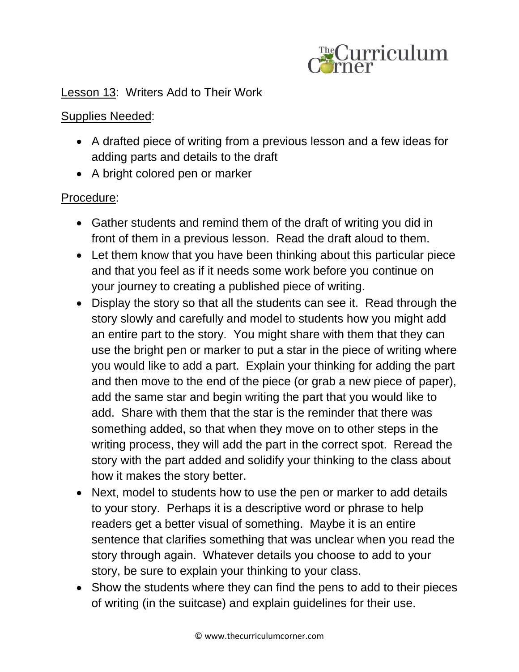

## Lesson 13: Writers Add to Their Work

## Supplies Needed:

- A drafted piece of writing from a previous lesson and a few ideas for adding parts and details to the draft
- A bright colored pen or marker

## Procedure:

- Gather students and remind them of the draft of writing you did in front of them in a previous lesson. Read the draft aloud to them.
- Let them know that you have been thinking about this particular piece and that you feel as if it needs some work before you continue on your journey to creating a published piece of writing.
- Display the story so that all the students can see it. Read through the story slowly and carefully and model to students how you might add an entire part to the story. You might share with them that they can use the bright pen or marker to put a star in the piece of writing where you would like to add a part. Explain your thinking for adding the part and then move to the end of the piece (or grab a new piece of paper), add the same star and begin writing the part that you would like to add. Share with them that the star is the reminder that there was something added, so that when they move on to other steps in the writing process, they will add the part in the correct spot. Reread the story with the part added and solidify your thinking to the class about how it makes the story better.
- Next, model to students how to use the pen or marker to add details to your story. Perhaps it is a descriptive word or phrase to help readers get a better visual of something. Maybe it is an entire sentence that clarifies something that was unclear when you read the story through again. Whatever details you choose to add to your story, be sure to explain your thinking to your class.
- Show the students where they can find the pens to add to their pieces of writing (in the suitcase) and explain guidelines for their use.